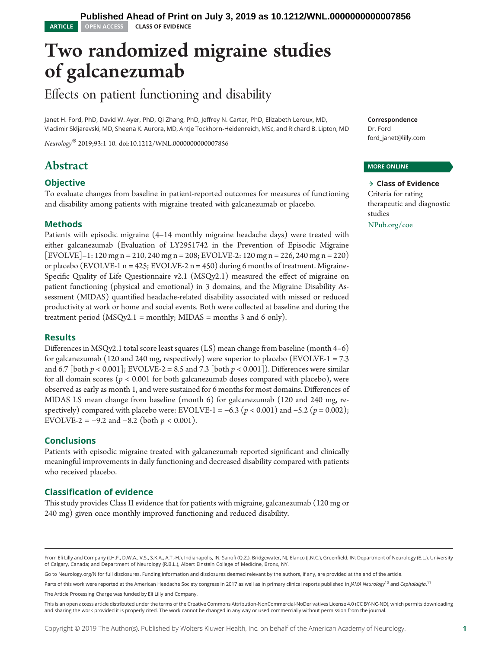# Two randomized migraine studies of galcanezumab

# Effects on patient functioning and disability

Janet H. Ford, PhD, David W. Ayer, PhD, Qi Zhang, PhD, Jeffrey N. Carter, PhD, Elizabeth Leroux, MD, Vladimir Skljarevski, MD, Sheena K. Aurora, MD, Antje Tockhorn-Heidenreich, MSc, and Richard B. Lipton, MD

Neurology® 2019;93:1-10. doi:[10.1212/WNL.0000000000007856](http://dx.doi.org/10.1212/WNL.0000000000007856)

# Abstract

# **Objective**

To evaluate changes from baseline in patient-reported outcomes for measures of functioning and disability among patients with migraine treated with galcanezumab or placebo.

# Methods

Patients with episodic migraine (4–14 monthly migraine headache days) were treated with either galcanezumab (Evaluation of LY2951742 in the Prevention of Episodic Migraine [EVOLVE]–1: 120 mg n = 210, 240 mg n = 208; EVOLVE-2: 120 mg n = 226, 240 mg n = 220) or placebo (EVOLVE-1 n = 425; EVOLVE-2 n = 450) during 6 months of treatment. Migraine-Specific Quality of Life Questionnaire v2.1 (MSQv2.1) measured the effect of migraine on patient functioning (physical and emotional) in 3 domains, and the Migraine Disability Assessment (MIDAS) quantified headache-related disability associated with missed or reduced productivity at work or home and social events. Both were collected at baseline and during the treatment period (MSQv2.1 = monthly; MIDAS = months 3 and 6 only).

# **Results**

Differences in MSQv2.1 total score least squares (LS) mean change from baseline (month 4–6) for galcanezumab (120 and 240 mg, respectively) were superior to placebo (EVOLVE-1 =  $7.3$ and 6.7 [both  $p < 0.001$ ]; EVOLVE-2 = 8.5 and 7.3 [both  $p < 0.001$ ]). Differences were similar for all domain scores ( $p < 0.001$  for both galcanezumab doses compared with placebo), were observed as early as month 1, and were sustained for 6 months for most domains. Differences of MIDAS LS mean change from baseline (month 6) for galcanezumab (120 and 240 mg, respectively) compared with placebo were: EVOLVE-1 = −6.3 ( $p < 0.001$ ) and −5.2 ( $p = 0.002$ ); EVOLVE-2 =  $-9.2$  and  $-8.2$  (both  $p < 0.001$ ).

# Conclusions

Patients with episodic migraine treated with galcanezumab reported significant and clinically meaningful improvements in daily functioning and decreased disability compared with patients who received placebo.

# Classification of evidence

This study provides Class II evidence that for patients with migraine, galcanezumab (120 mg or 240 mg) given once monthly improved functioning and reduced disability.

Go to [Neurology.org/N](https://n.neurology.org/lookup/doi/10.1212/WNL.0000000000007856) for full disclosures. Funding information and disclosures deemed relevant by the authors, if any, are provided at the end of the article.

Parts of this work were reported at the American Headache Society congress in 2017 as well as in primary clinical reports published in *JAMA Neurology* <sup>10</sup> and *Cephalalgia*.<sup>11</sup>

The Article Processing Charge was funded by Eli Lilly and Company.

**Correspondence** Dr. Ford [ford\\_janet@lilly.com](mailto:ford_janet@lilly.com)

#### MORE ONLINE

#### $\rightarrow$  Class of Evidence Criteria for rating therapeutic and diagnostic studies [NPub.org/coe](http://NPub.org/coe)

From Eli Lilly and Company (J.H.F., D.W.A., V.S., S.K.A., A.T.-H.), Indianapolis, IN; Sanofi (Q.Z.), Bridgewater, NJ; Elanco (J.N.C.), Greenfield, IN; Department of Neurology (E.L.), University of Calgary, Canada; and Department of Neurology (R.B.L.), Albert Einstein College of Medicine, Bronx, NY.

This is an open access article distributed under the terms of the [Creative Commons Attribution-NonCommercial-NoDerivatives License 4.0 \(CC BY-NC-ND\),](http://creativecommons.org/licenses/by-nc-nd/4.0/) which permits downloading and sharing the work provided it is properly cited. The work cannot be changed in any way or used commercially without permission from the journal.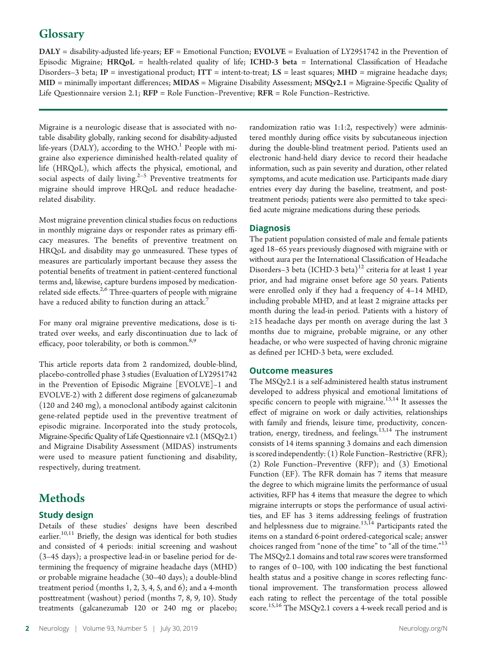# **Glossary**

 $\text{DALY}$  = disability-adjusted life-years; EF = Emotional Function; EVOLVE = Evaluation of LY2951742 in the Prevention of Episodic Migraine; HRQoL = health-related quality of life; ICHD-3 beta = International Classification of Headache Disorders–3 beta; IP = investigational product; ITT = intent-to-treat; LS = least squares; MHD = migraine headache days; MID = minimally important differences; MIDAS = Migraine Disability Assessment; MSQv2.1 = Migraine-Specific Quality of Life Questionnaire version 2.1; RFP = Role Function–Preventive; RFR = Role Function–Restrictive.

Migraine is a neurologic disease that is associated with notable disability globally, ranking second for disability-adjusted life-years (DALY), according to the WHO.<sup>1</sup> People with migraine also experience diminished health-related quality of life (HRQoL), which affects the physical, emotional, and social aspects of daily living.<sup>2-5</sup> Preventive treatments for migraine should improve HRQoL and reduce headacherelated disability.

Most migraine prevention clinical studies focus on reductions in monthly migraine days or responder rates as primary efficacy measures. The benefits of preventive treatment on HRQoL and disability may go unmeasured. These types of measures are particularly important because they assess the potential benefits of treatment in patient-centered functional terms and, likewise, capture burdens imposed by medicationrelated side effects.<sup>2,6</sup> Three-quarters of people with migraine have a reduced ability to function during an attack.<sup>7</sup>

For many oral migraine preventive medications, dose is titrated over weeks, and early discontinuation due to lack of efficacy, poor tolerability, or both is common.<sup>8,9</sup>

This article reports data from 2 randomized, double-blind, placebo-controlled phase 3 studies (Evaluation of LY2951742 in the Prevention of Episodic Migraine [EVOLVE]–1 and EVOLVE-2) with 2 different dose regimens of galcanezumab (120 and 240 mg), a monoclonal antibody against calcitonin gene-related peptide used in the preventive treatment of episodic migraine. Incorporated into the study protocols, Migraine-Specific Quality of Life Questionnaire v2.1 (MSQv2.1) and Migraine Disability Assessment (MIDAS) instruments were used to measure patient functioning and disability, respectively, during treatment.

# Methods

# Study design

Details of these studies' designs have been described earlier.<sup>10,11</sup> Briefly, the design was identical for both studies and consisted of 4 periods: initial screening and washout (3–45 days); a prospective lead-in or baseline period for determining the frequency of migraine headache days (MHD) or probable migraine headache (30–40 days); a double-blind treatment period (months 1, 2, 3, 4, 5, and 6); and a 4-month posttreatment (washout) period (months 7, 8, 9, 10). Study treatments (galcanezumab 120 or 240 mg or placebo;

randomization ratio was 1:1:2, respectively) were administered monthly during office visits by subcutaneous injection during the double-blind treatment period. Patients used an electronic hand-held diary device to record their headache information, such as pain severity and duration, other related symptoms, and acute medication use. Participants made diary entries every day during the baseline, treatment, and posttreatment periods; patients were also permitted to take specified acute migraine medications during these periods.

# **Diagnosis**

The patient population consisted of male and female patients aged 18–65 years previously diagnosed with migraine with or without aura per the International Classification of Headache Disorders–3 beta (ICHD-3 beta)<sup>12</sup> criteria for at least 1 year prior, and had migraine onset before age 50 years. Patients were enrolled only if they had a frequency of 4–14 MHD, including probable MHD, and at least 2 migraine attacks per month during the lead-in period. Patients with a history of ≥15 headache days per month on average during the last 3 months due to migraine, probable migraine, or any other headache, or who were suspected of having chronic migraine as defined per ICHD-3 beta, were excluded.

#### Outcome measures

The MSQv2.1 is a self-administered health status instrument developed to address physical and emotional limitations of specific concern to people with migraine. $13,14$  It assesses the effect of migraine on work or daily activities, relationships with family and friends, leisure time, productivity, concentration, energy, tiredness, and feelings. $13,14$  The instrument consists of 14 items spanning 3 domains and each dimension is scored independently: (1) Role Function–Restrictive (RFR); (2) Role Function–Preventive (RFP); and (3) Emotional Function (EF). The RFR domain has 7 items that measure the degree to which migraine limits the performance of usual activities, RFP has 4 items that measure the degree to which migraine interrupts or stops the performance of usual activities, and EF has 3 items addressing feelings of frustration and helplessness due to migraine.<sup>13,14</sup> Participants rated the items on a standard 6-point ordered-categorical scale; answer choices ranged from "none of the time" to "all of the time."<sup>13</sup> The MSQv2.1 domains and total raw scores were transformed to ranges of 0–100, with 100 indicating the best functional health status and a positive change in scores reflecting functional improvement. The transformation process allowed each rating to reflect the percentage of the total possible score.<sup>15,16</sup> The MSQv2.1 covers a 4-week recall period and is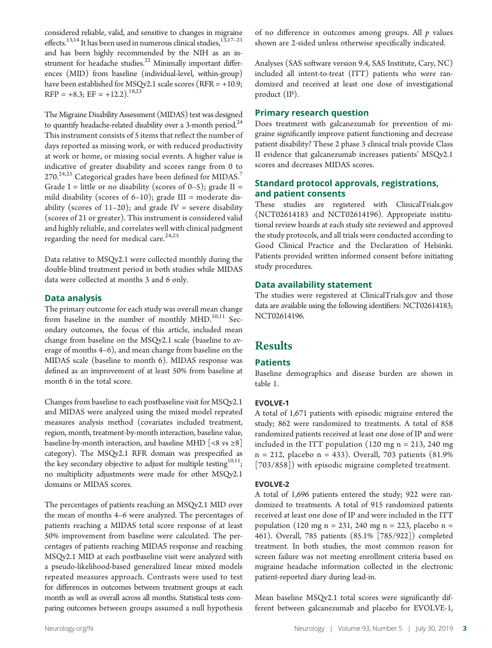considered reliable, valid, and sensitive to changes in migraine effects.<sup>13,14</sup> It has been used in numerous clinical studies,<sup>13,17-21</sup> and has been highly recommended by the NIH as an instrument for headache studies. $22$  Minimally important differences (MID) from baseline (individual-level, within-group) have been established for MSOv2.1 scale scores (RFR = +10.9;  $RFP = +8.3$ ;  $EF = +12.2$ ).<sup>18,23</sup>

The Migraine Disability Assessment (MIDAS) test was designed to quantify headache-related disability over a 3-month period. $^{24}$ This instrument consists of 5 items that reflect the number of days reported as missing work, or with reduced productivity at work or home, or missing social events. A higher value is indicative of greater disability and scores range from 0 to 270.<sup>24,25</sup> Categorical grades have been defined for MIDAS.<sup>7</sup> Grade I = little or no disability (scores of  $0-5$ ); grade II = mild disability (scores of  $6-10$ ); grade III = moderate disability (scores of  $11-20$ ); and grade IV = severe disability (scores of 21 or greater). This instrument is considered valid and highly reliable, and correlates well with clinical judgment regarding the need for medical care.<sup>24,25</sup>

Data relative to MSQv2.1 were collected monthly during the double-blind treatment period in both studies while MIDAS data were collected at months 3 and 6 only.

#### Data analysis

The primary outcome for each study was overall mean change from baseline in the number of monthly  $MHD.<sup>10,11</sup>$  Secondary outcomes, the focus of this article, included mean change from baseline on the MSQv2.1 scale (baseline to average of months 4–6), and mean change from baseline on the MIDAS scale (baseline to month 6). MIDAS response was defined as an improvement of at least 50% from baseline at month 6 in the total score.

Changes from baseline to each postbaseline visit for MSQv2.1 and MIDAS were analyzed using the mixed model repeated measures analysis method (covariates included treatment, region, month, treatment-by-month interaction, baseline value, baseline-by-month interaction, and baseline MHD  $[<8 \text{ vs } \geq 8]$ category). The MSQv2.1 RFR domain was prespecified as the key secondary objective to adjust for multiple testing<sup>10,11</sup>; no multiplicity adjustments were made for other MSQv2.1 domains or MIDAS scores.

The percentages of patients reaching an MSQv2.1 MID over the mean of months 4–6 were analyzed. The percentages of patients reaching a MIDAS total score response of at least 50% improvement from baseline were calculated. The percentages of patients reaching MIDAS response and reaching MSQv2.1 MID at each postbaseline visit were analyzed with a pseudo-likelihood-based generalized linear mixed models repeated measures approach. Contrasts were used to test for differences in outcomes between treatment groups at each month as well as overall across all months. Statistical tests comparing outcomes between groups assumed a null hypothesis of no difference in outcomes among groups. All  $p$  values shown are 2-sided unless otherwise specifically indicated.

Analyses (SAS software version 9.4, SAS Institute, Cary, NC) included all intent-to-treat (ITT) patients who were randomized and received at least one dose of investigational product (IP).

#### Primary research question

Does treatment with galcanezumab for prevention of migraine significantly improve patient functioning and decrease patient disability? These 2 phase 3 clinical trials provide Class II evidence that galcanezumab increases patients' MSQv2.1 scores and decreases MIDAS scores.

# Standard protocol approvals, registrations, and patient consents

These studies are registered with [ClinicalTrials.gov](http://ClinicalTrials.gov) (NCT02614183 and NCT02614196). Appropriate institutional review boards at each study site reviewed and approved the study protocols, and all trials were conducted according to Good Clinical Practice and the Declaration of Helsinki. Patients provided written informed consent before initiating study procedures.

#### Data availability statement

The studies were registered at [ClinicalTrials.gov](http://ClinicalTrials.gov) and those data are available using the following identifiers: NCT02614183; NCT02614196.

# **Results**

# **Patients**

Baseline demographics and disease burden are shown in table 1.

# EVOLVE-1

A total of 1,671 patients with episodic migraine entered the study; 862 were randomized to treatments. A total of 858 randomized patients received at least one dose of IP and were included in the ITT population  $(120 \text{ mg n} = 213, 240 \text{ mg})$ n = 212, placebo n = 433). Overall, 703 patients (81.9% [703/858]) with episodic migraine completed treatment.

# EVOLVE-2

A total of 1,696 patients entered the study; 922 were randomized to treatments. A total of 915 randomized patients received at least one dose of IP and were included in the ITT population (120 mg n = 231, 240 mg n = 223, placebo n = 461). Overall, 785 patients (85.1% [785/922]) completed treatment. In both studies, the most common reason for screen failure was not meeting enrollment criteria based on migraine headache information collected in the electronic patient-reported diary during lead-in.

Mean baseline MSQv2.1 total scores were significantly different between galcanezumab and placebo for EVOLVE-1,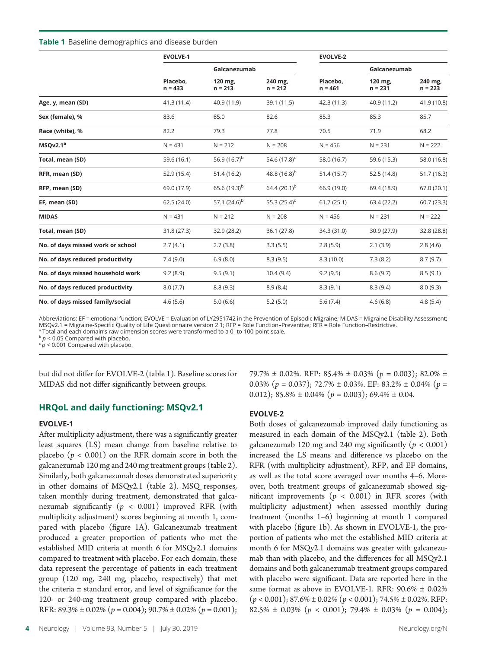#### Table 1 Baseline demographics and disease burden

|                                   | <b>EVOLVE-1</b>       |                      |                      | <b>EVOLVE-2</b>       |                      |                      |  |  |
|-----------------------------------|-----------------------|----------------------|----------------------|-----------------------|----------------------|----------------------|--|--|
|                                   | Placebo,<br>$n = 433$ | Galcanezumab         |                      |                       | Galcanezumab         |                      |  |  |
|                                   |                       | 120 mg,<br>$n = 213$ | 240 mg,<br>$n = 212$ | Placebo,<br>$n = 461$ | 120 mg,<br>$n = 231$ | 240 mg,<br>$n = 223$ |  |  |
| Age, y, mean (SD)                 | 41.3(11.4)            | 40.9 (11.9)          | 39.1 (11.5)          | 42.3(11.3)            | 40.9 (11.2)          | 41.9 (10.8)          |  |  |
| Sex (female), %                   | 83.6                  | 85.0                 | 82.6                 | 85.3                  | 85.3                 | 85.7                 |  |  |
| Race (white), %                   | 82.2                  | 79.3                 | 77.8                 | 70.5                  | 71.9                 | 68.2                 |  |  |
| MSQv2.1ª                          | $N = 431$             | $N = 212$            | $N = 208$            | $N = 456$             | $N = 231$            | $N = 222$            |  |  |
| Total, mean (SD)                  | 59.6 (16.1)           | 56.9 $(16.7)^{b}$    | 54.6 $(17.8)^c$      | 58.0 (16.7)           | 59.6 (15.3)          | 58.0 (16.8)          |  |  |
| RFR, mean (SD)                    | 52.9 (15.4)           | 51.4(16.2)           | 48.8 $(16.8)^{b}$    | 51.4(15.7)            | 52.5 (14.8)          | 51.7(16.3)           |  |  |
| RFP, mean (SD)                    | 69.0 (17.9)           | 65.6 $(19.3)^{b}$    | 64.4 $(20.1)^{b}$    | 66.9 (19.0)           | 69.4 (18.9)          | 67.0 (20.1)          |  |  |
| EF, mean (SD)                     | 62.5 (24.0)           | 57.1 $(24.6)^{b}$    | 55.3 $(25.4)^c$      | 61.7(25.1)            | 63.4 (22.2)          | 60.7(23.3)           |  |  |
| <b>MIDAS</b>                      | $N = 431$             | $N = 212$            | $N = 208$            | $N = 456$             | $N = 231$            | $N = 222$            |  |  |
| Total, mean (SD)                  | 31.8 (27.3)           | 32.9 (28.2)          | 36.1 (27.8)          | 34.3 (31.0)           | 30.9 (27.9)          | 32.8 (28.8)          |  |  |
| No. of days missed work or school | 2.7(4.1)              | 2.7(3.8)             | 3.3(5.5)             | 2.8(5.9)              | 2.1(3.9)             | 2.8(4.6)             |  |  |
| No. of days reduced productivity  | 7.4(9.0)              | 6.9(8.0)             | 8.3(9.5)             | 8.3(10.0)             | 7.3(8.2)             | 8.7(9.7)             |  |  |
| No. of days missed household work | 9.2(8.9)              | 9.5(9.1)             | 10.4(9.4)            | 9.2(9.5)              | 8.6(9.7)             | 8.5(9.1)             |  |  |
| No. of days reduced productivity  | 8.0(7.7)              | 8.8(9.3)             | 8.9(8.4)             | 8.3(9.1)              | 8.3(9.4)             | 8.0(9.3)             |  |  |
| No. of days missed family/social  | 4.6(5.6)              | 5.0(6.6)             | 5.2(5.0)             | 5.6(7.4)              | 4.6(6.8)             | 4.8(5.4)             |  |  |

Abbreviations: EF = emotional function; EVOLVE = Evaluation of LY2951742 in the Prevention of Episodic Migraine; MIDAS = Migraine Disability Assessment; MSQv2.1 = Migraine-Specific Quality of Life Questionnaire version 2.1; RFP = Role Function–Preventive; RFR = Role Function–Restrictive.

<sup>a</sup> Total and each domain's raw dimension scores were transformed to a 0- to 100-point scale.

 $\frac{b}{p}$  < 0.05 Compared with placebo.

 $\epsilon$   $p$  < 0.001 Compared with placebo.

but did not differ for EVOLVE-2 (table 1). Baseline scores for MIDAS did not differ significantly between groups.

HRQoL and daily functioning: MSQv2.1

#### EVOLVE-1

After multiplicity adjustment, there was a significantly greater least squares (LS) mean change from baseline relative to placebo ( $p < 0.001$ ) on the RFR domain score in both the galcanezumab 120 mg and 240 mg treatment groups (table 2). Similarly, both galcanezumab doses demonstrated superiority in other domains of MSQv2.1 (table 2). MSQ responses, taken monthly during treatment, demonstrated that galcanezumab significantly ( $p < 0.001$ ) improved RFR (with multiplicity adjustment) scores beginning at month 1, compared with placebo (figure 1A). Galcanezumab treatment produced a greater proportion of patients who met the established MID criteria at month 6 for MSQv2.1 domains compared to treatment with placebo. For each domain, these data represent the percentage of patients in each treatment group (120 mg, 240 mg, placebo, respectively) that met the criteria ± standard error, and level of significance for the 120- or 240-mg treatment group compared with placebo. RFR:  $89.3\% \pm 0.02\%$  ( $p = 0.004$ );  $90.7\% \pm 0.02\%$  ( $p = 0.001$ );

Neurology | Volume 93, Number 5 | July 30, 2019 [Neurology.org/N](http://neurology.org/n)

79.7%  $\pm$  0.02%. RFP: 85.4%  $\pm$  0.03% ( $p = 0.003$ ); 82.0%  $\pm$ 0.03% ( $p = 0.037$ ); 72.7%  $\pm$  0.03%. EF: 83.2%  $\pm$  0.04% ( $p =$ 0.012); 85.8%  $\pm$  0.04% ( $p = 0.003$ ); 69.4%  $\pm$  0.04.

#### EVOLVE-2

Both doses of galcanezumab improved daily functioning as measured in each domain of the MSQv2.1 (table 2). Both galcanezumab 120 mg and 240 mg significantly ( $p < 0.001$ ) increased the LS means and difference vs placebo on the RFR (with multiplicity adjustment), RFP, and EF domains, as well as the total score averaged over months 4–6. Moreover, both treatment groups of galcanezumab showed significant improvements ( $p < 0.001$ ) in RFR scores (with multiplicity adjustment) when assessed monthly during treatment (months 1–6) beginning at month 1 compared with placebo (figure 1b). As shown in EVOLVE-1, the proportion of patients who met the established MID criteria at month 6 for MSQv2.1 domains was greater with galcanezumab than with placebo, and the differences for all MSQv2.1 domains and both galcanezumab treatment groups compared with placebo were significant. Data are reported here in the same format as above in EVOLVE-1. RFR: 90.6% ± 0.02%  $(p < 0.001)$ ; 87.6% ± 0.02%  $(p < 0.001)$ ; 74.5% ± 0.02%. RFP: 82.5%  $\pm$  0.03% ( $p < 0.001$ ); 79.4%  $\pm$  0.03% ( $p = 0.004$ );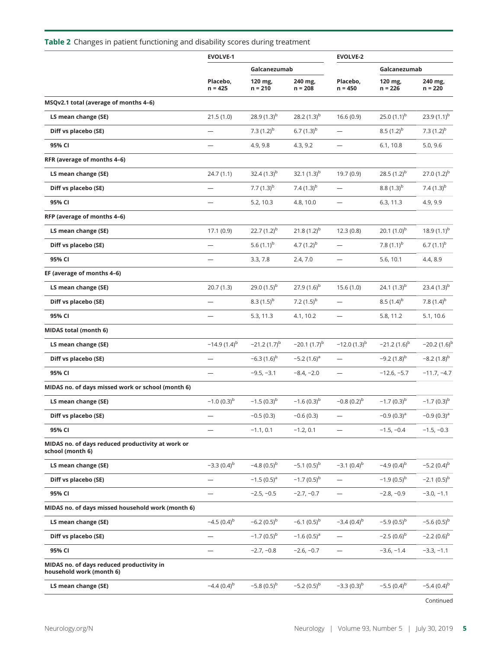# Table 2 Changes in patient functioning and disability scores during treatment

|                                                                       | <b>EVOLVE-1</b>          |                      |                      | <b>EVOLVE-2</b>          |                      |                      |  |
|-----------------------------------------------------------------------|--------------------------|----------------------|----------------------|--------------------------|----------------------|----------------------|--|
|                                                                       |                          |                      | Galcanezumab         |                          | Galcanezumab         |                      |  |
|                                                                       | Placebo,<br>$n = 425$    | 120 mg,<br>$n = 210$ | 240 mg,<br>$n = 208$ | Placebo,<br>$n = 450$    | 120 mg,<br>$n = 226$ | 240 mg,<br>$n = 220$ |  |
| MSQv2.1 total (average of months 4-6)                                 |                          |                      |                      |                          |                      |                      |  |
| LS mean change (SE)                                                   | 21.5(1.0)                | 28.9 $(1.3)^{b}$     | 28.2 $(1.3)^{b}$     | 16.6(0.9)                | 25.0 $(1.1)^{b}$     | 23.9 $(1.1)^{b}$     |  |
| Diff vs placebo (SE)                                                  | —                        | 7.3 $(1.2)^{b}$      | 6.7 $(1.3)^{b}$      | $\overline{\phantom{0}}$ | $8.5(1.2)^{b}$       | 7.3 $(1.2)^{b}$      |  |
| 95% CI                                                                | -                        | 4.9, 9.8             | 4.3, 9.2             | $\overline{\phantom{0}}$ | 6.1, 10.8            | 5.0, 9.6             |  |
| RFR (average of months 4-6)                                           |                          |                      |                      |                          |                      |                      |  |
| LS mean change (SE)                                                   | 24.7(1.1)                | 32.4 $(1.3)^{b}$     | 32.1 $(1.3)^{b}$     | 19.7 (0.9)               | 28.5 $(1.2)^{b}$     | 27.0 $(1.2)^{b}$     |  |
| Diff vs placebo (SE)                                                  | $\overline{\phantom{0}}$ | 7.7 $(1.3)^{b}$      | 7.4 $(1.3)^{b}$      |                          | $8.8(1.3)^{b}$       | 7.4 $(1.3)^{b}$      |  |
| 95% CI                                                                | $\overline{\phantom{0}}$ | 5.2, 10.3            | 4.8, 10.0            | $\overline{\phantom{0}}$ | 6.3, 11.3            | 4.9, 9.9             |  |
| RFP (average of months 4-6)                                           |                          |                      |                      |                          |                      |                      |  |
| LS mean change (SE)                                                   | 17.1(0.9)                | 22.7 $(1.2)^{b}$     | 21.8 $(1.2)^{b}$     | 12.3(0.8)                | 20.1 $(1.0)^{b}$     | 18.9 $(1.1)^{b}$     |  |
| Diff vs placebo (SE)                                                  | $\overline{\phantom{0}}$ | 5.6 $(1.1)^{b}$      | 4.7 $(1.2)^{b}$      | $\overline{\phantom{0}}$ | 7.8 $(1.1)^{b}$      | $6.7(1.1)^{b}$       |  |
| 95% CI                                                                |                          | 3.3, 7.8             | 2.4, 7.0             | $\overline{\phantom{0}}$ | 5.6, 10.1            | 4.4, 8.9             |  |
| EF (average of months 4-6)                                            |                          |                      |                      |                          |                      |                      |  |
| LS mean change (SE)                                                   | 20.7(1.3)                | 29.0 $(1.5)^{b}$     | 27.9 $(1.6)^{b}$     | 15.6(1.0)                | 24.1 $(1.3)^{b}$     | 23.4 $(1.3)^{b}$     |  |
| Diff vs placebo (SE)                                                  | —                        | $8.3(1.5)^{b}$       | 7.2 $(1.5)^{b}$      |                          | $8.5(1.4)^{b}$       | 7.8 $(1.4)^{b}$      |  |
| 95% CI                                                                | —                        | 5.3, 11.3            | 4.1, 10.2            | —                        | 5.8, 11.2            | 5.1, 10.6            |  |
| <b>MIDAS total (month 6)</b>                                          |                          |                      |                      |                          |                      |                      |  |
| LS mean change (SE)                                                   | $-14.9(1.4)^{b}$         | $-21.2(1.7)^{b}$     | $-20.1(1.7)^{b}$     | $-12.0(1.3)^{b}$         | $-21.2(1.6)^{b}$     | $-20.2(1.6)^{b}$     |  |
| Diff vs placebo (SE)                                                  | $\overline{\phantom{0}}$ | $-6.3(1.6)^{b}$      | $-5.2(1.6)^a$        | $\overline{\phantom{0}}$ | $-9.2(1.8)^{b}$      | $-8.2(1.8)^{b}$      |  |
| 95% CI                                                                | —                        | $-9.5, -3.1$         | $-8.4, -2.0$         | $\overline{\phantom{0}}$ | $-12.6, -5.7$        | $-11.7, -4.7$        |  |
| MIDAS no. of days missed work or school (month 6)                     |                          |                      |                      |                          |                      |                      |  |
| LS mean change (SE)                                                   | $-1.0(0.3)^{b}$          | $-1.5(0.3)^{b}$      | $-1.6(0.3)^{b}$      | $-0.8(0.2)^{b}$          | $-1.7(0.3)^{b}$      | $-1.7(0.3)^{b}$      |  |
| Diff vs placebo (SE)                                                  |                          | $-0.5(0.3)$          | $-0.6(0.3)$          | $\overline{\phantom{0}}$ | $-0.9(0.3)^a$        | $-0.9(0.3)^a$        |  |
| 95% CI                                                                |                          | $-1.1, 0.1$          | $-1.2, 0.1$          |                          | $-1.5, -0.4$         | $-1.5, -0.3$         |  |
| MIDAS no. of days reduced productivity at work or<br>school (month 6) |                          |                      |                      |                          |                      |                      |  |
| LS mean change (SE)                                                   | $-3.3(0.4)^{b}$          | $-4.8(0.5)^{b}$      | $-5.1(0.5)^{b}$      | $-3.1(0.4)^{b}$          | $-4.9(0.4)^{b}$      | $-5.2(0.4)^{b}$      |  |
| Diff vs placebo (SE)                                                  | —                        | $-1.5(0.5)^{a}$      | $-1.7(0.5)^{b}$      | $\overline{\phantom{0}}$ | $-1.9(0.5)^{b}$      | $-2.1(0.5)^{b}$      |  |
| 95% CI                                                                | —                        | $-2.5, -0.5$         | $-2.7, -0.7$         |                          | $-2.8, -0.9$         | $-3.0, -1.1$         |  |
| MIDAS no. of days missed household work (month 6)                     |                          |                      |                      |                          |                      |                      |  |
| LS mean change (SE)                                                   | $-4.5(0.4)^{b}$          | $-6.2(0.5)^{b}$      | $-6.1(0.5)^{b}$      | $-3.4(0.4)^{b}$          | $-5.9(0.5)^{b}$      | $-5.6(0.5)^{b}$      |  |
| Diff vs placebo (SE)                                                  | -                        | $-1.7(0.5)^{b}$      | $-1.6(0.5)^{a}$      |                          | $-2.5(0.6)^{b}$      | $-2.2(0.6)^{b}$      |  |
| 95% CI                                                                |                          | $-2.7, -0.8$         | $-2.6, -0.7$         | $\overline{\phantom{0}}$ | $-3.6, -1.4$         | $-3.3, -1.1$         |  |
| MIDAS no. of days reduced productivity in<br>household work (month 6) |                          |                      |                      |                          |                      |                      |  |
| LS mean change (SE)                                                   | $-4.4(0.4)^{b}$          | $-5.8(0.5)^{b}$      | $-5.2(0.5)^{b}$      | $-3.3(0.3)^{b}$          | $-5.5(0.4)^{b}$      | $-5.4(0.4)^{b}$      |  |
|                                                                       |                          |                      |                      |                          |                      |                      |  |

Continued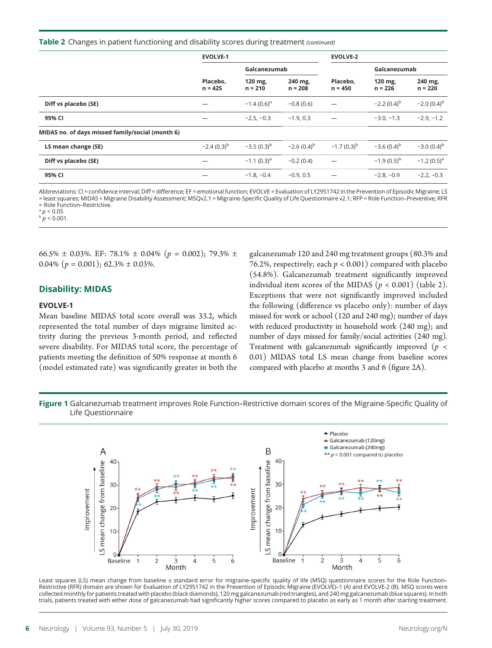#### Table 2 Changes in patient functioning and disability scores during treatment (continued)

|                                                  | <b>EVOLVE-1</b>       |                      |                      | <b>EVOLVE-2</b>       |                      |                      |
|--------------------------------------------------|-----------------------|----------------------|----------------------|-----------------------|----------------------|----------------------|
|                                                  | Placebo,<br>$n = 425$ | Galcanezumab         |                      |                       | Galcanezumab         |                      |
|                                                  |                       | 120 mg,<br>$n = 210$ | 240 mg,<br>$n = 208$ | Placebo.<br>$n = 450$ | 120 mg,<br>$n = 226$ | 240 mg,<br>$n = 220$ |
| Diff vs placebo (SE)                             |                       | $-1.4(0.6)^{a}$      | $-0.8(0.6)$          |                       | $-2.2(0.4)^{b}$      | $-2.0(0.4)^{b}$      |
| 95% CI                                           |                       | $-2.5, -0.3$         | $-1.9, 0.3$          |                       | $-3.0, -1.3$         | $-2.9, -1.2$         |
| MIDAS no. of days missed family/social (month 6) |                       |                      |                      |                       |                      |                      |
| LS mean change (SE)                              | $-2.4(0.3)^{b}$       | $-3.5(0.3)^{b}$      | $-2.6(0.4)^{b}$      | $-1.7(0.3)^{b}$       | $-3.6(0.4)^{b}$      | $-3.0(0.4)^{b}$      |
| Diff vs placebo (SE)                             |                       | $-1.1(0.3)^{a}$      | $-0.2(0.4)$          |                       | $-1.9(0.5)^{b}$      | $-1.2(0.5)^a$        |
| 95% CI                                           |                       | $-1.8, -0.4$         | $-0.9.0.5$           |                       | $-2.8, -0.9$         | $-2.2. -0.3$         |

Abbreviations: CI = confidence interval; Diff = difference; EF = emotional function; EVOLVE = Evaluation of LY2951742 in the Prevention of Episodic Migraine; LS = least squares; MIDAS = Migraine Disability Assessment; MSQv2.1 = Migraine-Specific Quality of Life Questionnaire v2.1; RFP = Role Function–Preventive; RFR = Role Function–Restrictive.

 $\frac{a}{p}$  / 0.05

 $b'p < 0.001$ .

66.5%  $\pm$  0.03%. EF: 78.1%  $\pm$  0.04% ( $p = 0.002$ ); 79.3%  $\pm$ 0.04%  $(p = 0.001)$ ; 62.3%  $\pm$  0.03%.

#### Disability: MIDAS

#### EVOLVE-1

Mean baseline MIDAS total score overall was 33.2, which represented the total number of days migraine limited activity during the previous 3-month period, and reflected severe disability. For MIDAS total score, the percentage of patients meeting the definition of 50% response at month 6 (model estimated rate) was significantly greater in both the galcanezumab 120 and 240 mg treatment groups (80.3% and 76.2%, respectively; each  $p < 0.001$ ) compared with placebo (54.8%). Galcanezumab treatment significantly improved individual item scores of the MIDAS ( $p < 0.001$ ) (table 2). Exceptions that were not significantly improved included the following (difference vs placebo only): number of days missed for work or school (120 and 240 mg); number of days with reduced productivity in household work (240 mg); and number of days missed for family/social activities (240 mg). Treatment with galcanezumab significantly improved ( $p <$ 0.01) MIDAS total LS mean change from baseline scores compared with placebo at months 3 and 6 (figure 2A).

Figure 1 Galcanezumab treatment improves Role Function–Restrictive domain scores of the Migraine-Specific Quality of Life Questionnaire



Least squares (LS) mean change from baseline ± standard error for migraine-specific quality of life (MSQ) questionnaire scores for the Role Function-Restrictive (RFR) domain are shown for Evaluation of LY2951742 in the Prevention of Episodic Migraine (EVOLVE)–1 (A) and EVOLVE-2 (B). MSQ scores were collected monthly for patients treated with placebo (black diamonds), 120 mg galcanezumab (red triangles), and 240 mg galcanezumab (blue squares). In both trials, patients treated with either dose of galcanezumab had significantly higher scores compared to placebo as early as 1 month after starting treatment.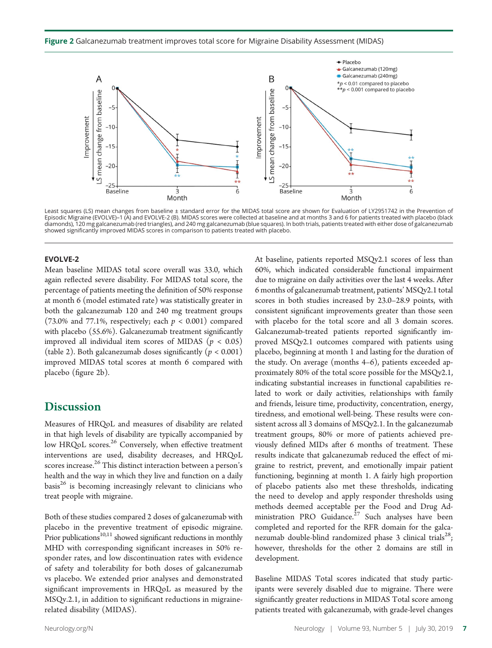Figure 2 Galcanezumab treatment improves total score for Migraine Disability Assessment (MIDAS)



Least squares (LS) mean changes from baseline ± standard error for the MIDAS total score are shown for Evaluation of LY2951742 in the Prevention of Episodic Migraine (EVOLVE)–1 (A) and EVOLVE-2 (B). MIDAS scores were collected at baseline and at months 3 and 6 for patients treated with placebo (black diamonds), 120 mg galcanezumab (red triangles), and 240 mg galcanezumab (blue squares). In both trials, patients treated with either dose of galcanezumab showed significantly improved MIDAS scores in comparison to patients treated with placebo.

#### EVOLVE-2

Mean baseline MIDAS total score overall was 33.0, which again reflected severe disability. For MIDAS total score, the percentage of patients meeting the definition of 50% response at month 6 (model estimated rate) was statistically greater in both the galcanezumab 120 and 240 mg treatment groups (73.0% and 77.1%, respectively; each  $p < 0.001$ ) compared with placebo (55.6%). Galcanezumab treatment significantly improved all individual item scores of MIDAS ( $p < 0.05$ ) (table 2). Both galcanezumab doses significantly ( $p < 0.001$ ) improved MIDAS total scores at month 6 compared with placebo (figure 2b).

# **Discussion**

Measures of HRQoL and measures of disability are related in that high levels of disability are typically accompanied by low HRQoL scores.<sup>26</sup> Conversely, when effective treatment interventions are used, disability decreases, and HRQoL scores increase.<sup>26</sup> This distinct interaction between a person's health and the way in which they live and function on a daily basis $^{26}$  is becoming increasingly relevant to clinicians who treat people with migraine.

Both of these studies compared 2 doses of galcanezumab with placebo in the preventive treatment of episodic migraine. Prior publications<sup>10,11</sup> showed significant reductions in monthly MHD with corresponding significant increases in 50% responder rates, and low discontinuation rates with evidence of safety and tolerability for both doses of galcanezumab vs placebo. We extended prior analyses and demonstrated significant improvements in HRQoL as measured by the MSQv.2.1, in addition to significant reductions in migrainerelated disability (MIDAS).

At baseline, patients reported MSQv2.1 scores of less than 60%, which indicated considerable functional impairment due to migraine on daily activities over the last 4 weeks. After 6 months of galcanezumab treatment, patients' MSQv2.1 total scores in both studies increased by 23.0–28.9 points, with consistent significant improvements greater than those seen with placebo for the total score and all 3 domain scores. Galcanezumab-treated patients reported significantly improved MSQv2.1 outcomes compared with patients using placebo, beginning at month 1 and lasting for the duration of the study. On average (months 4–6), patients exceeded approximately 80% of the total score possible for the MSQv2.1, indicating substantial increases in functional capabilities related to work or daily activities, relationships with family and friends, leisure time, productivity, concentration, energy, tiredness, and emotional well-being. These results were consistent across all 3 domains of MSQv2.1. In the galcanezumab treatment groups, 80% or more of patients achieved previously defined MIDs after 6 months of treatment. These results indicate that galcanezumab reduced the effect of migraine to restrict, prevent, and emotionally impair patient functioning, beginning at month 1. A fairly high proportion of placebo patients also met these thresholds, indicating the need to develop and apply responder thresholds using methods deemed acceptable per the Food and Drug Administration PRO Guidance.<sup>27</sup> Such analyses have been completed and reported for the RFR domain for the galcanezumab double-blind randomized phase 3 clinical trials<sup>28</sup>; however, thresholds for the other 2 domains are still in development.

Baseline MIDAS Total scores indicated that study participants were severely disabled due to migraine. There were significantly greater reductions in MIDAS Total score among patients treated with galcanezumab, with grade-level changes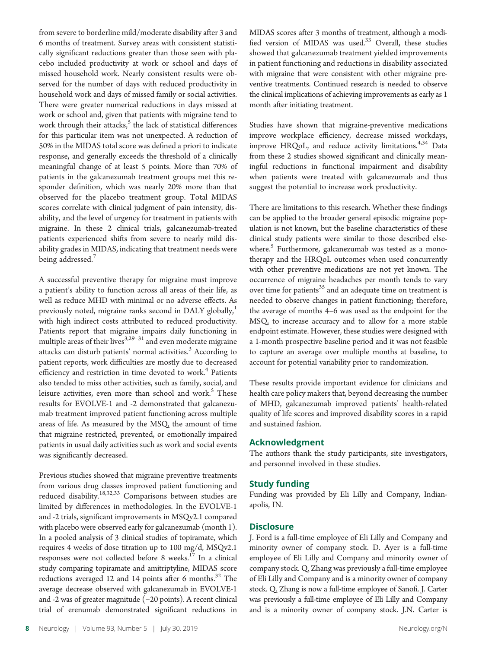from severe to borderline mild/moderate disability after 3 and 6 months of treatment. Survey areas with consistent statistically significant reductions greater than those seen with placebo included productivity at work or school and days of missed household work. Nearly consistent results were observed for the number of days with reduced productivity in household work and days of missed family or social activities. There were greater numerical reductions in days missed at work or school and, given that patients with migraine tend to work through their attacks, $5$  the lack of statistical differences for this particular item was not unexpected. A reduction of 50% in the MIDAS total score was defined a priori to indicate response, and generally exceeds the threshold of a clinically meaningful change of at least 5 points. More than 70% of patients in the galcanezumab treatment groups met this responder definition, which was nearly 20% more than that observed for the placebo treatment group. Total MIDAS scores correlate with clinical judgment of pain intensity, disability, and the level of urgency for treatment in patients with migraine. In these 2 clinical trials, galcanezumab-treated patients experienced shifts from severe to nearly mild disability grades in MIDAS, indicating that treatment needs were being addressed.<sup>7</sup>

A successful preventive therapy for migraine must improve a patient's ability to function across all areas of their life, as well as reduce MHD with minimal or no adverse effects. As previously noted, migraine ranks second in DALY globally,<sup>1</sup> with high indirect costs attributed to reduced productivity. Patients report that migraine impairs daily functioning in multiple areas of their lives $3,29-31$  and even moderate migraine attacks can disturb patients' normal activities.<sup>3</sup> According to patient reports, work difficulties are mostly due to decreased efficiency and restriction in time devoted to work.<sup>4</sup> Patients also tended to miss other activities, such as family, social, and leisure activities, even more than school and work.<sup>5</sup> These results for EVOLVE-1 and -2 demonstrated that galcanezumab treatment improved patient functioning across multiple areas of life. As measured by the MSQ, the amount of time that migraine restricted, prevented, or emotionally impaired patients in usual daily activities such as work and social events was significantly decreased.

Previous studies showed that migraine preventive treatments from various drug classes improved patient functioning and reduced disability.<sup>18,32,33</sup> Comparisons between studies are limited by differences in methodologies. In the EVOLVE-1 and -2 trials, significant improvements in MSQv2.1 compared with placebo were observed early for galcanezumab (month 1). In a pooled analysis of 3 clinical studies of topiramate, which requires 4 weeks of dose titration up to 100 mg/d, MSQv2.1 responses were not collected before 8 weeks.<sup>17</sup> In a clinical study comparing topiramate and amitriptyline, MIDAS score reductions averaged 12 and 14 points after 6 months.<sup>32</sup> The average decrease observed with galcanezumab in EVOLVE-1 and -2 was of greater magnitude (−20 points). A recent clinical trial of erenumab demonstrated significant reductions in

MIDAS scores after 3 months of treatment, although a modified version of MIDAS was used.<sup>33</sup> Overall, these studies showed that galcanezumab treatment yielded improvements in patient functioning and reductions in disability associated with migraine that were consistent with other migraine preventive treatments. Continued research is needed to observe the clinical implications of achieving improvements as early as 1 month after initiating treatment.

Studies have shown that migraine-preventive medications improve workplace efficiency, decrease missed workdays, improve HRQoL, and reduce activity limitations.<sup>4,34</sup> Data from these 2 studies showed significant and clinically meaningful reductions in functional impairment and disability when patients were treated with galcanezumab and thus suggest the potential to increase work productivity.

There are limitations to this research. Whether these findings can be applied to the broader general episodic migraine population is not known, but the baseline characteristics of these clinical study patients were similar to those described elsewhere.<sup>5</sup> Furthermore, galcanezumab was tested as a monotherapy and the HRQoL outcomes when used concurrently with other preventive medications are not yet known. The occurrence of migraine headaches per month tends to vary over time for patients<sup>35</sup> and an adequate time on treatment is needed to observe changes in patient functioning; therefore, the average of months 4–6 was used as the endpoint for the MSQ, to increase accuracy and to allow for a more stable endpoint estimate. However, these studies were designed with a 1-month prospective baseline period and it was not feasible to capture an average over multiple months at baseline, to account for potential variability prior to randomization.

These results provide important evidence for clinicians and health care policy makers that, beyond decreasing the number of MHD, galcanezumab improved patients' health-related quality of life scores and improved disability scores in a rapid and sustained fashion.

#### Acknowledgment

The authors thank the study participants, site investigators, and personnel involved in these studies.

#### Study funding

Funding was provided by Eli Lilly and Company, Indianapolis, IN.

#### **Disclosure**

J. Ford is a full-time employee of Eli Lilly and Company and minority owner of company stock. D. Ayer is a full-time employee of Eli Lilly and Company and minority owner of company stock. Q. Zhang was previously a full-time employee of Eli Lilly and Company and is a minority owner of company stock. Q. Zhang is now a full-time employee of Sanofi. J. Carter was previously a full-time employee of Eli Lilly and Company and is a minority owner of company stock. J.N. Carter is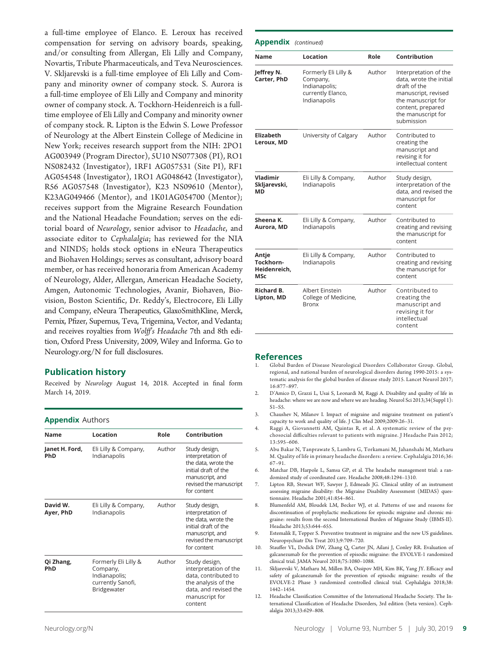a full-time employee of Elanco. E. Leroux has received compensation for serving on advisory boards, speaking, and/or consulting from Allergan, Eli Lilly and Company, Novartis, Tribute Pharmaceuticals, and Teva Neurosciences. V. Skljarevski is a full-time employee of Eli Lilly and Company and minority owner of company stock. S. Aurora is a full-time employee of Eli Lilly and Company and minority owner of company stock. A. Tockhorn-Heidenreich is a fulltime employee of Eli Lilly and Company and minority owner of company stock. R. Lipton is the Edwin S. Lowe Professor of Neurology at the Albert Einstein College of Medicine in New York; receives research support from the NIH: 2PO1 AG003949 (Program Director), 5U10 NS077308 (PI), RO1 NS082432 (Investigator), 1RF1 AG057531 (Site PI), RF1 AG054548 (Investigator), 1RO1 AG048642 (Investigator), R56 AG057548 (Investigator), K23 NS09610 (Mentor), K23AG049466 (Mentor), and 1K01AG054700 (Mentor); receives support from the Migraine Research Foundation and the National Headache Foundation; serves on the editorial board of Neurology, senior advisor to Headache, and associate editor to Cephalalgia; has reviewed for the NIA and NINDS; holds stock options in eNeura Therapeutics and Biohaven Holdings; serves as consultant, advisory board member, or has received honoraria from American Academy of Neurology, Alder, Allergan, American Headache Society, Amgen, Autonomic Technologies, Avanir, Biohaven, Biovision, Boston Scientific, Dr. Reddy's, Electrocore, Eli Lilly and Company, eNeura Therapeutics, GlaxoSmithKline, Merck, Pernix, Pfizer, Supernus, Teva, Trigemina, Vector, and Vedanta; and receives royalties from Wolff's Headache 7th and 8th edition, Oxford Press University, 2009, Wiley and Informa. Go to [Neurology.org/N](https://n.neurology.org/lookup/doi/10.1212/WNL.0000000000007856) for full disclosures.

#### Publication history

Received by Neurology August 14, 2018. Accepted in final form March 14, 2019.

#### Appendix Authors

| Name                         | Location                                                                                                   | Role   | Contribution                                                                                                                                  |
|------------------------------|------------------------------------------------------------------------------------------------------------|--------|-----------------------------------------------------------------------------------------------------------------------------------------------|
| Janet H. Ford,<br><b>PhD</b> | Eli Lilly & Company,<br>Indianapolis                                                                       | Author | Study design,<br>interpretation of<br>the data, wrote the<br>initial draft of the<br>manuscript, and<br>revised the manuscript<br>for content |
| David W.<br>Ayer, PhD        | Eli Lilly & Company,<br>Indianapolis                                                                       | Author | Study design,<br>interpretation of<br>the data, wrote the<br>initial draft of the<br>manuscript, and<br>revised the manuscript<br>for content |
| Qi Zhang,<br>PhD             | Formerly Eli Lilly &<br>Author<br>Company,<br>Indianapolis;<br>currently Sanofi,<br>Bridgewater<br>content |        | Study design,<br>interpretation of the<br>data, contributed to<br>the analysis of the<br>data, and revised the<br>manuscript for              |

| <b>Appendix</b> (continued)               |                                                                                        |        |                                                                                                                                                                        |
|-------------------------------------------|----------------------------------------------------------------------------------------|--------|------------------------------------------------------------------------------------------------------------------------------------------------------------------------|
| Name                                      | Location                                                                               | Role   | Contribution                                                                                                                                                           |
| Jeffrey N.<br>Carter, PhD                 | Formerly Eli Lilly &<br>Company,<br>Indianapolis;<br>currently Elanco,<br>Indianapolis | Author | Interpretation of the<br>data, wrote the initial<br>draft of the<br>manuscript, revised<br>the manuscript for<br>content, prepared<br>the manuscript for<br>submission |
| <b>Elizabeth</b><br>Leroux, MD            | University of Calgary                                                                  | Author | Contributed to<br>creating the<br>manuscript and<br>revising it for<br>intellectual content                                                                            |
| Vladimir<br>Skljarevski,<br>МD            | Eli Lilly & Company,<br>Indianapolis                                                   | Author | Study design,<br>interpretation of the<br>data, and revised the<br>manuscript for<br>content                                                                           |
| Sheena K.<br>Aurora, MD                   | Eli Lilly & Company,<br>Indianapolis                                                   | Author | Contributed to<br>creating and revising<br>the manuscript for<br>content                                                                                               |
| Antie<br>Tockhorn-<br>Heidenreich,<br>MSc | Eli Lilly & Company,<br>Indianapolis                                                   | Author | Contributed to<br>creating and revising<br>the manuscript for<br>content                                                                                               |
| Richard B.<br>Lipton, MD                  | Albert Einstein<br>College of Medicine,<br><b>Bronx</b>                                | Author | Contributed to<br>creating the<br>manuscript and<br>revising it for<br>intellectual<br>content                                                                         |

#### References

- 1. Global Burden of Disease Neurological Disorders Collaborator Group. Global, regional, and national burden of neurological disorders during 1990-2015: a systematic analysis for the global burden of disease study 2015. Lancet Neurol 2017; 16:877–897.
- 2. D'Amico D, Grazzi L, Usai S, Leonardi M, Raggi A. Disability and quality of life in headache: where we are now and where we are heading. Neurol Sci 2013;34(Suppl 1): S1–S5.
- 3. Chaushev N, Milanov I. Impact of migraine and migraine treatment on patient's capacity to work and quality of life. J Clin Med 2009;2009:26–31.
- 4. Raggi A, Giovannetti AM, Quintas R, et al. A systematic review of the psychosocial difficulties relevant to patients with migraine. J Headache Pain 2012; 13:595–606.
- 5. Abu Bakar N, Tanprawate S, Lambru G, Torkamani M, Jahanshahi M, Matharu M. Quality of life in primary headache disorders: a review. Cephalalgia 2016;36: 67–91.
- 6. Matchar DB, Harpole L, Samsa GP, et al. The headache management trial: a randomized study of coordinated care. Headache 2008;48:1294–1310.
- 7. Lipton RB, Stewart WF, Sawyer J, Edmeads JG. Clinical utility of an instrument assessing migraine disability: the Migraine Disability Assessment (MIDAS) questionnaire. Headache 2001;41:854–861.
- 8. Blumenfeld AM, Bloudek LM, Becker WJ, et al. Patterns of use and reasons for discontinuation of prophylactic medications for episodic migraine and chronic migraine: results from the second International Burden of Migraine Study (IBMS-II). Headache 2013;53:644–655.
- Estemalik E, Tepper S. Preventive treatment in migraine and the new US guidelines. Neuropsychiatr Dis Treat 2013;9:709–720.
- 10. Stauffer VL, Dodick DW, Zhang Q, Carter JN, Ailani J, Conley RR. Evaluation of galcanezumab for the prevention of episodic migraine: the EVOLVE-1 randomized clinical trial. JAMA Neurol 2018;75:1080–1088.
- 11. Skljarevski V, Matharu M, Millen BA, Ossipov MH, Kim BK, Yang JY. Efficacy and safety of galcanezumab for the prevention of episodic migraine: results of the EVOLVE-2 Phase 3 randomized controlled clinical trial. Cephalalgia 2018;38: 1442–1454.
- 12. Headache Classification Committee of the International Headache Society. The International Classification of Headache Disorders, 3rd edition (beta version). Cephalalgia 2013;33:629–808.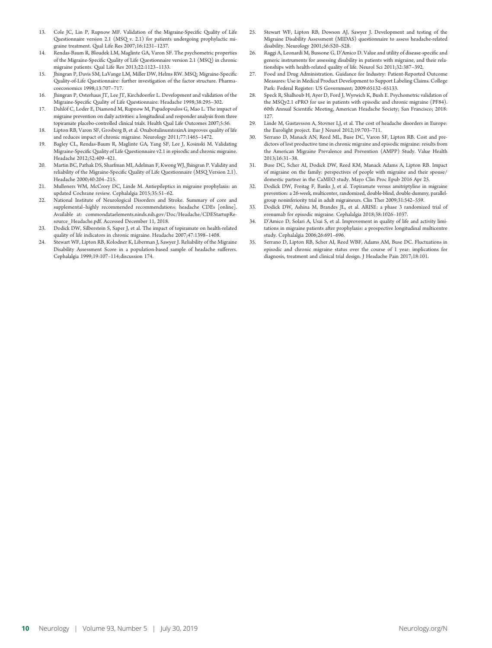- 13. Cole JC, Lin P, Rupnow MF. Validation of the Migraine-Specific Quality of Life Questionnaire version 2.1 (MSQ v. 2.1) for patients undergoing prophylactic migraine treatment. Qual Life Res 2007;16:1231–1237.
- 14. Rendas-Baum R, Bloudek LM, Maglinte GA, Varon SF. The psychometric properties of the Migraine-Specific Quality of Life Questionnaire version 2.1 (MSQ) in chronic migraine patients. Qual Life Res 2013;22:1123–1133.
- 15. Jhingran P, Davis SM, LaVange LM, Miller DW, Helms RW. MSQ: Migraine-Specific Quality-of-Life Questionnaire: further investigation of the factor structure. Pharmacoeconomics 1998;13:707–717.
- 16. Jhingran P, Osterhaus JT, Lee JT, Kirchdoerfer L. Development and validation of the Migraine-Specific Quality of Life Questionnaire. Headache 1998;38:295–302.
- 17. Dahlöf C, Loder E, Diamond M, Rupnow M, Papadopoulos G, Mao L. The impact of migraine prevention on daily activities: a longitudinal and responder analysis from three topiramate placebo-controlled clinical trials. Health Qual Life Outcomes 2007;5:56.
- 18. Lipton RB, Varon SF, Grosberg B, et al. OnabotulinumtoxinA improves quality of life and reduces impact of chronic migraine. Neurology 2011;77:1465–1472.
- 19. Bagley CL, Rendas-Baum R, Maglinte GA, Yang SF, Lee J, Kosinski M. Validating Migraine-Specific Quality of Life Questionnaire v2.1 in episodic and chronic migraine. Headache 2012;52:409–421.
- 20. Martin BC, Pathak DS, Sharfman MI, Adelman F, Kwong WJ, Jhingran P. Validity and reliability of the Migraine-Specific Quality of Life Questionnaire (MSQ Version 2.1). Headache 2000;40:204–215.
- 21. Mulleners WM, McCrory DC, Linde M. Antiepileptics in migraine prophylaxis: an updated Cochrane review. Cephalalgia 2015;35:51–62.
- 22. National Institute of Neurological Disorders and Stroke. Summary of core and supplemental–highly recommended recommendations: headache CDEs [online]. Available at: [commondataelements.ninds.nih.gov/Doc/Headache/CDEStartupRe](https://commondataelements.ninds.nih.gov/Doc/Headache/CDEStartupResource_Headache.pdf)source Headache.pdf. Accessed December 11, 2018.
- 23. Dodick DW, Silberstein S, Saper J, et al. The impact of topiramate on health-related quality of life indicators in chronic migraine. Headache 2007;47:1398–1408.
- 24. Stewart WF, Lipton RB, Kolodner K, Liberman J, Sawyer J. Reliability of the Migraine Disability Assessment Score in a population-based sample of headache sufferers. Cephalalgia 1999;19:107–114;discussion 174.
- 25. Stewart WF, Lipton RB, Dowson AJ, Sawyer J. Development and testing of the Migraine Disability Assessment (MIDAS) questionnaire to assess headache-related disability. Neurology 2001;56:S20–S28.
- 26. Raggi A, Leonardi M, Bussone G, D'Amico D. Value and utility of disease-specific and generic instruments for assessing disability in patients with migraine, and their relationships with health-related quality of life. Neurol Sci 2011;32:387–392.
- 27. Food and Drug Administration. Guidance for Industry: Patient-Reported Outcome Measures: Use in Medical Product Development to Support Labeling Claims. College Park: Federal Register: US Government; 2009:65132–65133.
- 28. Speck R, Shalhoub H, Ayer D, Ford J, Wyrwich K, Bush E. Psychometric validation of the MSQv2.1 ePRO for use in patients with episodic and chronic migraine (PF84). 60th Annual Scientific Meeting, American Headache Society; San Francisco; 2018: 127.
- 29. Linde M, Gustavsson A, Stovner LJ, et al. The cost of headache disorders in Europe: the Eurolight project. Eur J Neurol 2012;19:703–711.
- 30. Serrano D, Manack AN, Reed ML, Buse DC, Varon SF, Lipton RB. Cost and predictors of lost productive time in chronic migraine and episodic migraine: results from the American Migraine Prevalence and Prevention (AMPP) Study. Value Health 2013;16:31–38.
- 31. Buse DC, Scher AI, Dodick DW, Reed KM, Manack Adams A, Lipton RB. Impact of migraine on the family: perspectives of people with migraine and their spouse/ domestic partner in the CaMEO study. Mayo Clin Proc Epub 2016 Apr 25.
- 32. Dodick DW, Freitag F, Banks J, et al. Topiramate versus amitriptyline in migraine prevention: a 26-week, multicenter, randomized, double-blind, double-dummy, parallelgroup noninferiority trial in adult migraineurs. Clin Ther 2009;31:542–559.
- 33. Dodick DW, Ashina M, Brandes JL, et al. ARISE: a phase 3 randomized trial of erenumab for episodic migraine. Cephalalgia 2018;38:1026–1037.
- 34. D'Amico D, Solari A, Usai S, et al. Improvement in quality of life and activity limitations in migraine patients after prophylaxis: a prospective longitudinal multicentre study. Cephalalgia 2006;26:691–696.
- 35. Serrano D, Lipton RB, Scher AI, Reed WBF, Adams AM, Buse DC. Fluctuations in episodic and chronic migraine status over the course of 1 year: implications for diagnosis, treatment and clinical trial design. J Headache Pain 2017;18:101.